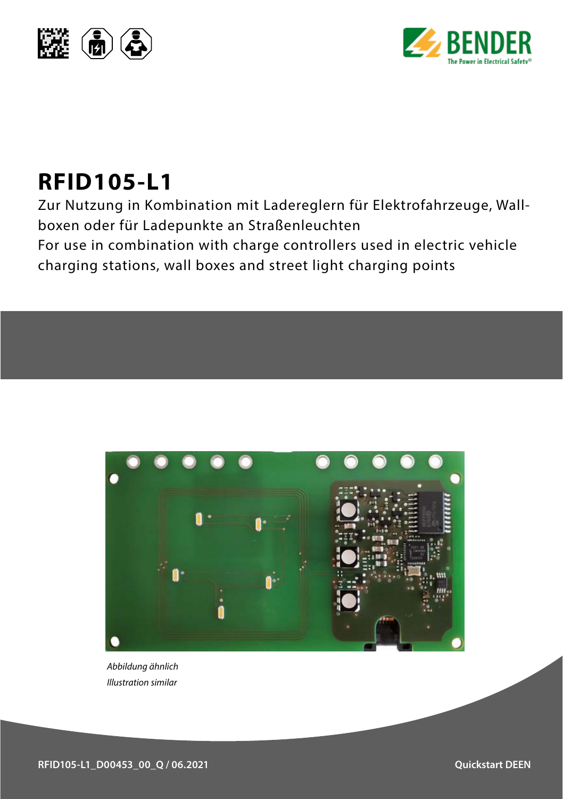



## **RFID105-L1**

Zur Nutzung in Kombination mit Ladereglern für Elektrofahrzeuge, Wallboxen oder für Ladepunkte an Straßenleuchten For use in combination with charge controllers used in electric vehicle charging stations, wall boxes and street light charging points



*Abbildung ähnlich Illustration similar*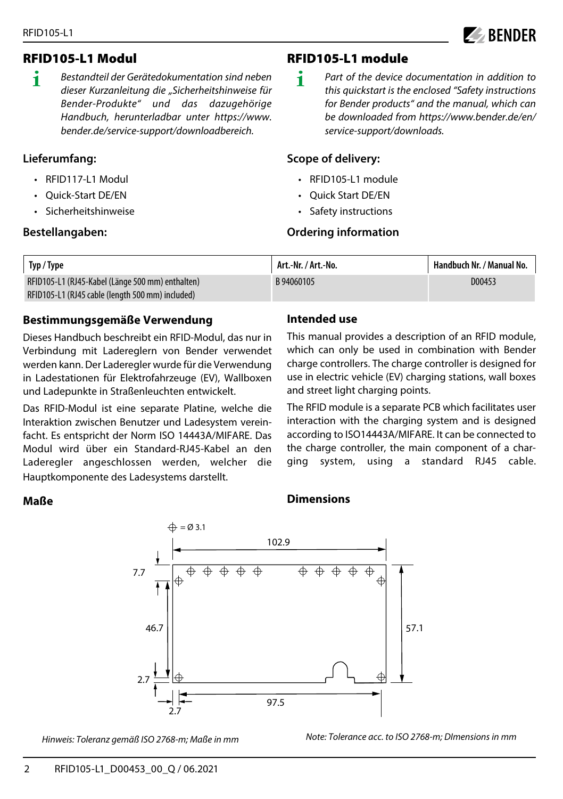

#### RFID105-L1 Modul

**i** *Bestandteil der Gerätedokumentation sind neben dieser Kurzanleitung die "Sicherheitshinweise für Bender-Produkte" und das dazugehörige Handbuch, herunterladbar unter https://www. bender.de/service-support/downloadbereich.* 

#### **Lieferumfang:**

- RFID117-L1 Modul
- Quick-Start DE/EN
- Sicherheitshinweise

#### **Bestellangaben:**

#### RFID105-L1 module

**i** *Part of the device documentation in addition to this quickstart is the enclosed "Safety instructions for Bender products" and the manual, which can be downloaded from https://www.bender.de/en/ service-support/downloads.* 

#### **Scope of delivery:**

- RFID105-L1 module
- Quick Start DE/EN
- Safety instructions

#### **Ordering information**

| Typ / Type                                       | Art.-Nr. / Art.-No. | 'Handbuch Nr. / Manual No. |
|--------------------------------------------------|---------------------|----------------------------|
| RFID105-L1 (RJ45-Kabel (Länge 500 mm) enthalten) | B 94060105          | D00453                     |
| RFID105-L1 (RJ45 cable (length 500 mm) included) |                     |                            |

#### **Bestimmungsgemäße Verwendung**

Dieses Handbuch beschreibt ein RFID-Modul, das nur in Verbindung mit Ladereglern von Bender verwendet werden kann. Der Laderegler wurde für die Verwendung in Ladestationen für Elektrofahrzeuge (EV), Wallboxen und Ladepunkte in Straßenleuchten entwickelt.

Das RFID-Modul ist eine separate Platine, welche die Interaktion zwischen Benutzer und Ladesystem vereinfacht. Es entspricht der Norm ISO 14443A/MIFARE. Das Modul wird über ein Standard-RJ45-Kabel an den Laderegler angeschlossen werden, welcher die Hauptkomponente des Ladesystems darstellt.

#### **Intended use**

This manual provides a description of an RFID module, which can only be used in combination with Bender charge controllers. The charge controller is designed for use in electric vehicle (EV) charging stations, wall boxes and street light charging points.

The RFID module is a separate PCB which facilitates user interaction with the charging system and is designed according to ISO14443A/MIFARE. It can be connected to the charge controller, the main component of a charging system, using a standard RJ45 cable.

#### **Maße**

#### **Dimensions**



*Hinweis: Toleranz gemäß ISO 2768-m; Maße in mm*

*Note: Tolerance acc. to ISO 2768-m; DImensions in mm*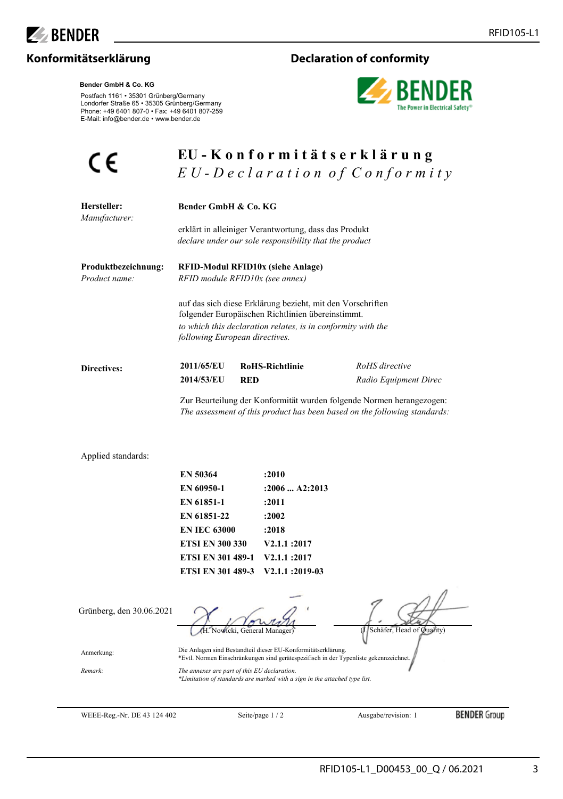

#### **Konformitätserklärung Declaration of conformity**



# $\epsilon$

**Bender GmbH & Co. KG**

Postfach 1161 • 35301 Grünberg/Germany Londorfer Straße 65 • 35305 Grünberg/Germany Phone: +49 6401 807-0 • Fax: +49 6401 807-259 E-Mail: info@bender.de • www.bender.de

### **EU - K o n f o r m i t ä t s e r k l ä r u n g** *EU* - *Declaration of Conformity*

| Hersteller:<br>Manufacturer:         | Bender GmbH & Co. KG<br>erklärt in alleiniger Verantwortung, dass das Produkt<br>declare under our sole responsibility that the product                                                                                                                                                   |                        |                                         |
|--------------------------------------|-------------------------------------------------------------------------------------------------------------------------------------------------------------------------------------------------------------------------------------------------------------------------------------------|------------------------|-----------------------------------------|
|                                      |                                                                                                                                                                                                                                                                                           |                        |                                         |
| Produktbezeichnung:<br>Product name: | RFID-Modul RFID10x (siehe Anlage)<br>RFID module RFID10x (see annex)<br>auf das sich diese Erklärung bezieht, mit den Vorschriften<br>folgender Europäischen Richtlinien übereinstimmt.<br>to which this declaration relates, is in conformity with the<br>following European directives. |                        |                                         |
|                                      |                                                                                                                                                                                                                                                                                           |                        |                                         |
| Directives:                          | 2011/65/EU<br>2014/53/EU<br>RED                                                                                                                                                                                                                                                           | <b>RoHS-Richtlinie</b> | RoHS directive<br>Radio Equipment Direc |
|                                      | Zur Beurteilung der Konformität wurden folgende Normen herangezogen:<br>The assessment of this product has been based on the following standards:                                                                                                                                         |                        |                                         |
| Applied standards:                   |                                                                                                                                                                                                                                                                                           |                        |                                         |
|                                      | <b>EN 50364</b>                                                                                                                                                                                                                                                                           | :2010                  |                                         |
|                                      | EN 60950-1                                                                                                                                                                                                                                                                                | $: 2006$ A2:2013       |                                         |
|                                      | <b>EN 61851-1</b>                                                                                                                                                                                                                                                                         | :2011                  |                                         |
|                                      | EN 61851-22                                                                                                                                                                                                                                                                               | :2002                  |                                         |
|                                      | <b>EN IEC 63000</b>                                                                                                                                                                                                                                                                       | :2018                  |                                         |
|                                      | <b>ETSI EN 300 330</b>                                                                                                                                                                                                                                                                    | <b>V2.1.1 :2017</b>    |                                         |
|                                      | <b>ETSI EN 301 489-1</b>                                                                                                                                                                                                                                                                  | <b>V2.1.1:2017</b>     |                                         |
|                                      | <b>ETSI EN 301 489-3</b>                                                                                                                                                                                                                                                                  | V2.1.1:2019-03         |                                         |
| Grünberg, den 30.06.2021             |                                                                                                                                                                                                                                                                                           |                        | (J. Schäfer, Head of Quality)           |
| Anmerkung:                           | Die Anlagen sind Bestandteil dieser EU-Konformitätserklärung.<br>*Evtl. Normen Einschränkungen sind gerätespezifisch in der Typenliste gekennzeichnet.                                                                                                                                    |                        |                                         |
| Remark:                              | The annexes are part of this EU declaration.                                                                                                                                                                                                                                              |                        |                                         |

*The annexes are part of this EU declaration. \*Limitation of standards are marked with a sign in the attached type list.*

WEEE-Reg.-Nr. DE 43 124 402 Seite/page 1 / 2 Ausgabe/revision: 1

**BENDER** Group